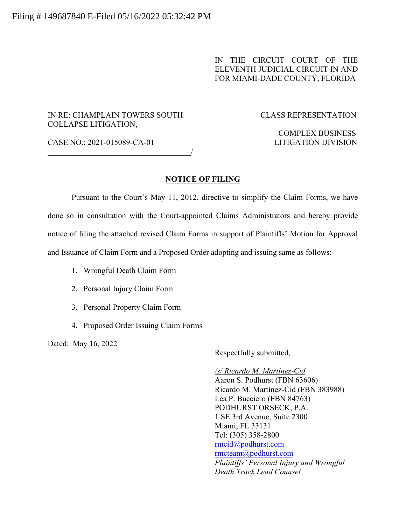#### IN THE CIRCUIT COURT OF THE ELEVENTH JUDICIAL CIRCUIT IN AND FOR MIAMI-DADE COUNTY, FLORIDA

#### IN RE: CHAMPLAIN TOWERS SOUTH CLASS REPRESENTATION COLLAPSE LITIGATION,

#### CASE NO.: 2021-015089-CA-01 LITIGATION DIVISION

# COMPLEX BUSINESS

 $\overline{\phantom{a}}$ 

#### **NOTICE OF FILING**

Pursuant to the Court's May 11, 2012, directive to simplify the Claim Forms, we have done so in consultation with the Court-appointed Claims Administrators and hereby provide notice of filing the attached revised Claim Forms in support of Plaintiffs' Motion for Approval and Issuance of Claim Form and a Proposed Order adopting and issuing same as follows:

- 1. Wrongful Death Claim Form
- 2. Personal Injury Claim Form
- 3. Personal Property Claim Form
- 4. Proposed Order Issuing Claim Forms

Dated: May 16, 2022

Respectfully submitted,

*/s/ Ricardo M. Martínez-Cid* Aaron S. Podhurst (FBN 63606) Ricardo M. Martínez-Cid (FBN 383988) Lea P. Bucciero (FBN 84763) PODHURST ORSECK, P.A. 1 SE 3rd Avenue, Suite 2300 Miami, FL 33131 Tel: (305) 358-2800 rmcid@podhurst.com rmcteam@podhurst.com *Plaintiffs' Personal Injury and Wrongful Death Track Lead Counsel*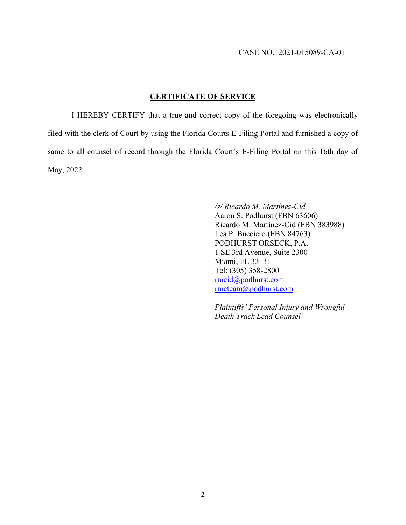#### **CERTIFICATE OF SERVICE**

I HEREBY CERTIFY that a true and correct copy of the foregoing was electronically filed with the clerk of Court by using the Florida Courts E-Filing Portal and furnished a copy of same to all counsel of record through the Florida Court's E-Filing Portal on this 16th day of May, 2022.

> */s/ Ricardo M. Martínez-Cid* Aaron S. Podhurst (FBN 63606) Ricardo M. Martínez-Cid (FBN 383988) Lea P. Bucciero (FBN 84763) PODHURST ORSECK, P.A. 1 SE 3rd Avenue, Suite 2300 Miami, FL 33131 Tel: (305) 358-2800 rmcid@podhurst.com rmcteam@podhurst.com

> *Plaintiffs' Personal Injury and Wrongful Death Track Lead Counsel*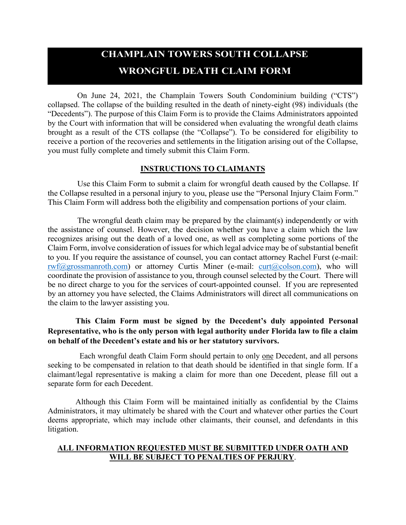# **CHAMPLAIN TOWERS SOUTH COLLAPSE WRONGFUL DEATH CLAIM FORM**

On June 24, 2021, the Champlain Towers South Condominium building ("CTS") collapsed. The collapse of the building resulted in the death of ninety-eight (98) individuals (the "Decedents"). The purpose of this Claim Form is to provide the Claims Administrators appointed by the Court with information that will be considered when evaluating the wrongful death claims brought as a result of the CTS collapse (the "Collapse"). To be considered for eligibility to receive a portion of the recoveries and settlements in the litigation arising out of the Collapse, you must fully complete and timely submit this Claim Form.

#### **INSTRUCTIONS TO CLAIMANTS**

Use this Claim Form to submit a claim for wrongful death caused by the Collapse. If the Collapse resulted in a personal injury to you, please use the "Personal Injury Claim Form." This Claim Form will address both the eligibility and compensation portions of your claim.

The wrongful death claim may be prepared by the claimant(s) independently or with the assistance of counsel. However, the decision whether you have a claim which the law recognizes arising out the death of a loved one, as well as completing some portions of the Claim Form, involve consideration of issues for which legal advice may be of substantial benefit to you. If you require the assistance of counsel, you can contact attorney Rachel Furst (e-mail: rwf@grossmanroth.com) or attorney Curtis Miner (e-mail: curt@colson.com), who will coordinate the provision of assistance to you, through counsel selected by the Court. There will be no direct charge to you for the services of court-appointed counsel. If you are represented by an attorney you have selected, the Claims Administrators will direct all communications on the claim to the lawyer assisting you.

#### **This Claim Form must be signed by the Decedent's duly appointed Personal Representative, who is the only person with legal authority under Florida law to file a claim on behalf of the Decedent's estate and his or her statutory survivors.**

Each wrongful death Claim Form should pertain to only one Decedent, and all persons seeking to be compensated in relation to that death should be identified in that single form. If a claimant/legal representative is making a claim for more than one Decedent, please fill out a separate form for each Decedent.

Although this Claim Form will be maintained initially as confidential by the Claims Administrators, it may ultimately be shared with the Court and whatever other parties the Court deems appropriate, which may include other claimants, their counsel, and defendants in this litigation.

#### **ALL INFORMATION REQUESTED MUST BE SUBMITTED UNDER OATH AND WILL BE SUBJECT TO PENALTIES OF PERJURY**.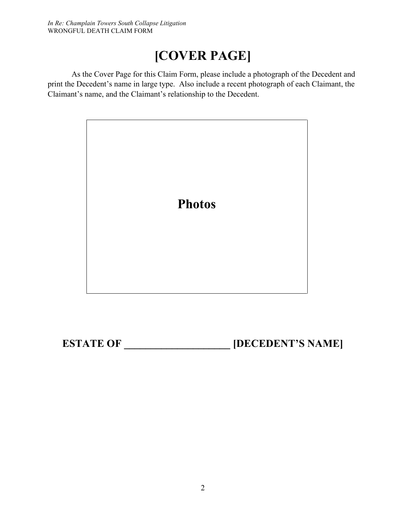# **[COVER PAGE]**

As the Cover Page for this Claim Form, please include a photograph of the Decedent and print the Decedent's name in large type. Also include a recent photograph of each Claimant, the Claimant's name, and the Claimant's relationship to the Decedent.



**ESTATE OF \_\_\_\_\_\_\_\_\_\_\_\_\_\_\_\_\_\_\_\_\_\_\_ [DECEDENT'S NAME]**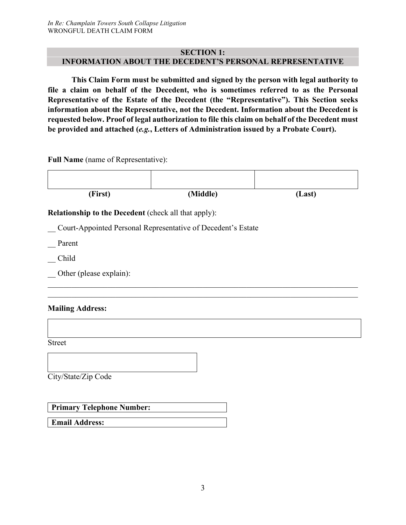#### **SECTION 1: INFORMATION ABOUT THE DECEDENT'S PERSONAL REPRESENTATIVE**

**This Claim Form must be submitted and signed by the person with legal authority to file a claim on behalf of the Decedent, who is sometimes referred to as the Personal Representative of the Estate of the Decedent (the "Representative"). This Section seeks information about the Representative, not the Decedent. Information about the Decedent is requested below. Proof of legal authorization to file this claim on behalf of the Decedent must be provided and attached (***e.g.***, Letters of Administration issued by a Probate Court).**

**Full Name** (name of Representative):



\_\_ Court-Appointed Personal Representative of Decedent's Estate

\_\_ Parent

- \_\_ Child
- Other (please explain):

#### **Mailing Address:**

Street

City/State/Zip Code

**Primary Telephone Number:**

**Email Address:**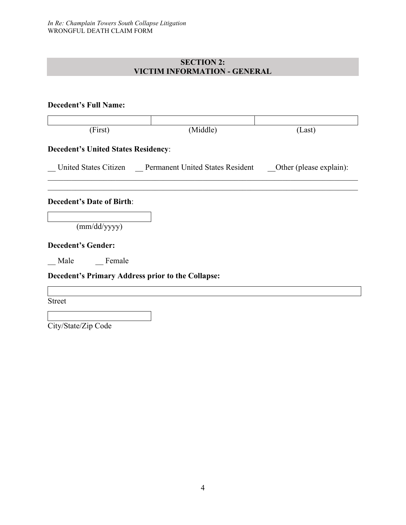#### **SECTION 2: VICTIM INFORMATION - GENERAL**

| <b>Decedent's Full Name:</b>                      |                                                                                |        |
|---------------------------------------------------|--------------------------------------------------------------------------------|--------|
| (First)                                           | (Middle)                                                                       | (Last) |
| <b>Decedent's United States Residency:</b>        |                                                                                |        |
|                                                   | United States Citizen Permanent United States Resident Other (please explain): |        |
| <b>Decedent's Date of Birth:</b>                  |                                                                                |        |
| (mm/dd/yyyy)                                      |                                                                                |        |
| <b>Decedent's Gender:</b>                         |                                                                                |        |
| Male Female                                       |                                                                                |        |
| Decedent's Primary Address prior to the Collapse: |                                                                                |        |
| <b>Street</b>                                     |                                                                                |        |
| City/State/Zip Code                               |                                                                                |        |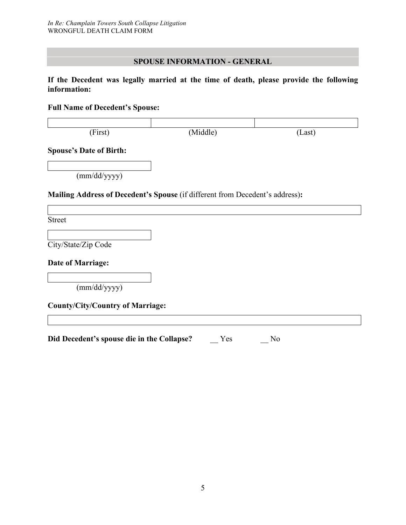#### **SPOUSE INFORMATION - GENERAL**

**If the Decedent was legally married at the time of death, please provide the following information:**

**Full Name of Decedent's Spouse:**

| (First)                                                                      | (Middle) | (Last) |
|------------------------------------------------------------------------------|----------|--------|
| <b>Spouse's Date of Birth:</b>                                               |          |        |
| (mm/dd/yyyy)                                                                 |          |        |
| Mailing Address of Decedent's Spouse (if different from Decedent's address): |          |        |
| <b>Street</b>                                                                |          |        |
| City/State/Zip Code                                                          |          |        |
| <b>Date of Marriage:</b>                                                     |          |        |
| (mm/dd/yyyy)                                                                 |          |        |
| <b>County/City/Country of Marriage:</b>                                      |          |        |
|                                                                              |          |        |
| Did Decedent's spouse die in the Collapse?                                   | Yes      | No     |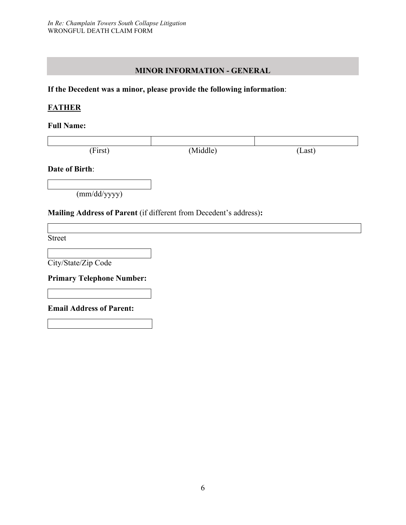#### **MINOR INFORMATION - GENERAL**

#### **If the Decedent was a minor, please provide the following information**:

#### **FATHER**

**Full Name:**

| (First) | (Middle) | (Last) |
|---------|----------|--------|

#### **Date of Birth**:

(mm/dd/yyyy)

#### **Mailing Address of Parent** (if different from Decedent's address)**:**

Street

City/State/Zip Code

**Primary Telephone Number:**

**Email Address of Parent:**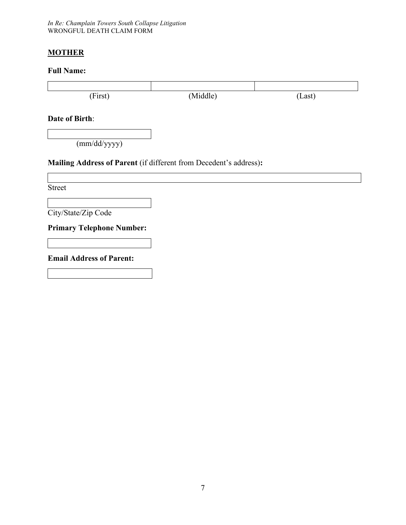*In Re: Champlain Towers South Collapse Litigation* WRONGFUL DEATH CLAIM FORM

#### **MOTHER**

#### **Full Name:**

| (First)                                                           | (Middle) | (Last) |
|-------------------------------------------------------------------|----------|--------|
| <b>Date of Birth:</b>                                             |          |        |
| (mm/dd/yyyy)                                                      |          |        |
| Mailing Address of Parent (if different from Decedent's address): |          |        |
| <b>Street</b>                                                     |          |        |
| City/State/Zip Code                                               |          |        |
| <b>Primary Telephone Number:</b>                                  |          |        |

**Email Address of Parent:**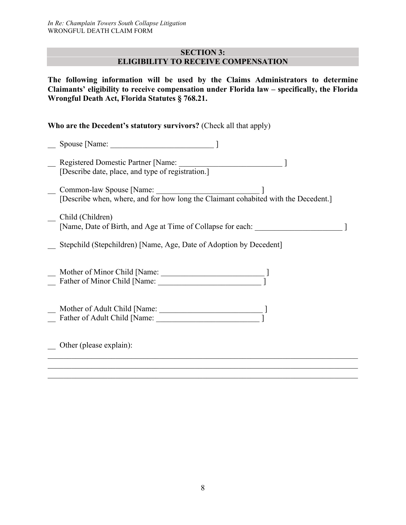#### **SECTION 3: ELIGIBILITY TO RECEIVE COMPENSATION**

**The following information will be used by the Claims Administrators to determine Claimants' eligibility to receive compensation under Florida law – specifically, the Florida Wrongful Death Act, Florida Statutes § 768.21.**

#### **Who are the Decedent's statutory survivors?** (Check all that apply)

| Registered Domestic Partner [Name:<br><u> 1980 - Andrea Albert III, martin a bh</u><br>[Describe date, place, and type of registration.] |
|------------------------------------------------------------------------------------------------------------------------------------------|
| Common-law Spouse [Name:<br><u> 1980 - Jan Alexandria (h. 1980).</u>                                                                     |
| [Describe when, where, and for how long the Claimant cohabited with the Decedent.]                                                       |
| Child (Children)                                                                                                                         |
| [Name, Date of Birth, and Age at Time of Collapse for each:                                                                              |
| Stepchild (Stepchildren) [Name, Age, Date of Adoption by Decedent]                                                                       |
|                                                                                                                                          |
| Father of Minor Child [Name:                                                                                                             |
|                                                                                                                                          |
|                                                                                                                                          |
|                                                                                                                                          |
|                                                                                                                                          |
| Other (please explain):                                                                                                                  |
|                                                                                                                                          |
|                                                                                                                                          |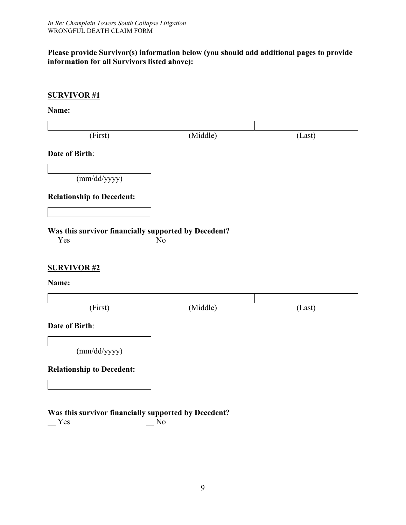#### **Please provide Survivor(s) information below (you should add additional pages to provide information for all Survivors listed above):**

| <b>SURVIVOR#1</b>                                           |          |        |
|-------------------------------------------------------------|----------|--------|
| Name:                                                       |          |        |
| (First)                                                     | (Middle) | (Last) |
| Date of Birth:                                              |          |        |
| (mm/dd/yyyy)                                                |          |        |
| <b>Relationship to Decedent:</b>                            |          |        |
| Was this survivor financially supported by Decedent?<br>Yes | No       |        |
| <b>SURVIVOR#2</b><br>Name:                                  |          |        |
| (First)                                                     | (Middle) | (Last) |
| <b>Date of Birth:</b>                                       |          |        |
| (mm/dd/yyyy)                                                |          |        |
| <b>Relationship to Decedent:</b>                            |          |        |
|                                                             |          |        |
| Was this survivor financially supported by Decedent?<br>Yes | No       |        |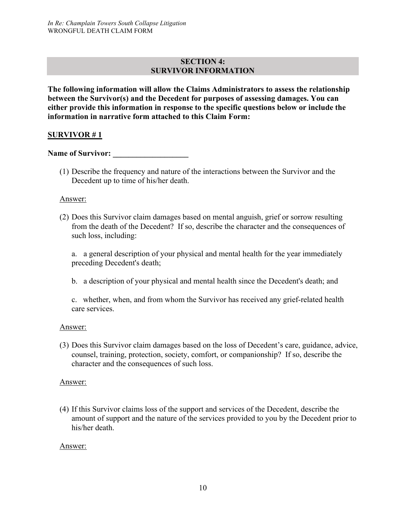#### **SECTION 4: SURVIVOR INFORMATION**

**The following information will allow the Claims Administrators to assess the relationship between the Survivor(s) and the Decedent for purposes of assessing damages. You can either provide this information in response to the specific questions below or include the information in narrative form attached to this Claim Form:**

#### **SURVIVOR # 1**

Name of Survivor:

(1) Describe the frequency and nature of the interactions between the Survivor and the Decedent up to time of his/her death.

#### Answer:

(2) Does this Survivor claim damages based on mental anguish, grief or sorrow resulting from the death of the Decedent? If so, describe the character and the consequences of such loss, including:

a. a general description of your physical and mental health for the year immediately preceding Decedent's death;

b. a description of your physical and mental health since the Decedent's death; and

c. whether, when, and from whom the Survivor has received any grief-related health care services.

#### Answer:

(3) Does this Survivor claim damages based on the loss of Decedent's care, guidance, advice, counsel, training, protection, society, comfort, or companionship? If so, describe the character and the consequences of such loss.

#### Answer:

(4) If this Survivor claims loss of the support and services of the Decedent, describe the amount of support and the nature of the services provided to you by the Decedent prior to his/her death.

#### Answer: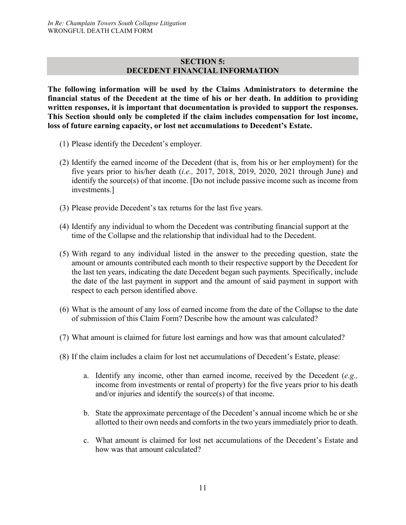#### **SECTION 5: DECEDENT FINANCIAL INFORMATION**

**The following information will be used by the Claims Administrators to determine the financial status of the Decedent at the time of his or her death. In addition to providing written responses, it is important that documentation is provided to support the responses. This Section should only be completed if the claim includes compensation for lost income, loss of future earning capacity, or lost net accumulations to Decedent's Estate.**

- (1) Please identify the Decedent's employer.
- (2) Identify the earned income of the Decedent (that is, from his or her employment) for the five years prior to his/her death (*i.e.,* 2017, 2018, 2019, 2020, 2021 through June) and identify the source(s) of that income. [Do not include passive income such as income from investments.]
- (3) Please provide Decedent's tax returns for the last five years.
- (4) Identify any individual to whom the Decedent was contributing financial support at the time of the Collapse and the relationship that individual had to the Decedent.
- (5) With regard to any individual listed in the answer to the preceding question, state the amount or amounts contributed each month to their respective support by the Decedent for the last ten years, indicating the date Decedent began such payments. Specifically, include the date of the last payment in support and the amount of said payment in support with respect to each person identified above.
- (6) What is the amount of any loss of earned income from the date of the Collapse to the date of submission of this Claim Form? Describe how the amount was calculated?
- (7) What amount is claimed for future lost earnings and how was that amount calculated?
- (8) If the claim includes a claim for lost net accumulations of Decedent's Estate, please:
	- a. Identify any income, other than earned income, received by the Decedent (*e.g.,* income from investments or rental of property) for the five years prior to his death and/or injuries and identify the source(s) of that income.
	- b. State the approximate percentage of the Decedent's annual income which he or she allotted to their own needs and comforts in the two years immediately prior to death.
	- c. What amount is claimed for lost net accumulations of the Decedent's Estate and how was that amount calculated?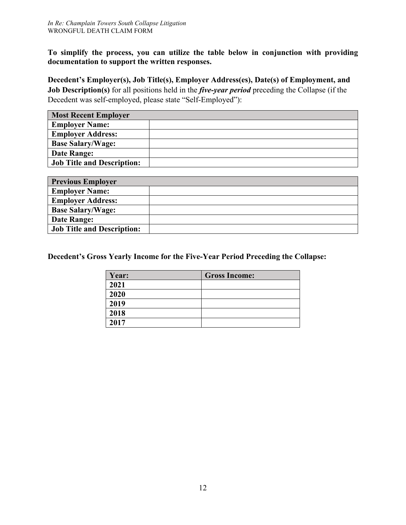**To simplify the process, you can utilize the table below in conjunction with providing documentation to support the written responses.**

**Decedent's Employer(s), Job Title(s), Employer Address(es), Date(s) of Employment, and Job Description(s)** for all positions held in the *five-year period* preceding the Collapse (if the Decedent was self-employed, please state "Self-Employed"):

| <b>Most Recent Employer</b>       |  |
|-----------------------------------|--|
| <b>Employer Name:</b>             |  |
| <b>Employer Address:</b>          |  |
| <b>Base Salary/Wage:</b>          |  |
| Date Range:                       |  |
| <b>Job Title and Description:</b> |  |

| <b>Previous Employer</b>          |  |
|-----------------------------------|--|
| <b>Employer Name:</b>             |  |
| <b>Employer Address:</b>          |  |
| <b>Base Salary/Wage:</b>          |  |
| Date Range:                       |  |
| <b>Job Title and Description:</b> |  |

**Decedent's Gross Yearly Income for the Five-Year Period Preceding the Collapse:**

| Year: | <b>Gross Income:</b> |
|-------|----------------------|
| 2021  |                      |
| 2020  |                      |
| 2019  |                      |
| 2018  |                      |
| 2017  |                      |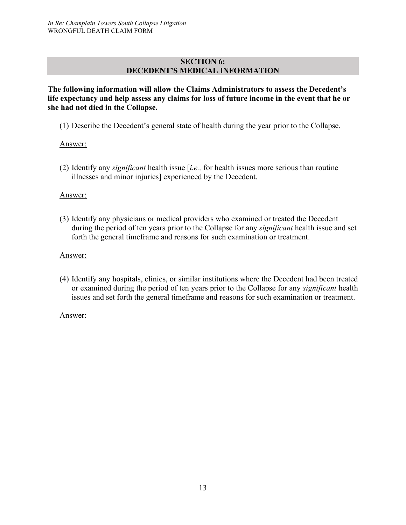#### **SECTION 6: DECEDENT'S MEDICAL INFORMATION**

**The following information will allow the Claims Administrators to assess the Decedent's life expectancy and help assess any claims for loss of future income in the event that he or she had not died in the Collapse.**

(1) Describe the Decedent's general state of health during the year prior to the Collapse.

#### Answer:

(2) Identify any *significant* health issue [*i.e.,* for health issues more serious than routine illnesses and minor injuries] experienced by the Decedent.

#### Answer:

(3) Identify any physicians or medical providers who examined or treated the Decedent during the period of ten years prior to the Collapse for any *significant* health issue and set forth the general timeframe and reasons for such examination or treatment.

#### Answer:

(4) Identify any hospitals, clinics, or similar institutions where the Decedent had been treated or examined during the period of ten years prior to the Collapse for any *significant* health issues and set forth the general timeframe and reasons for such examination or treatment.

#### Answer: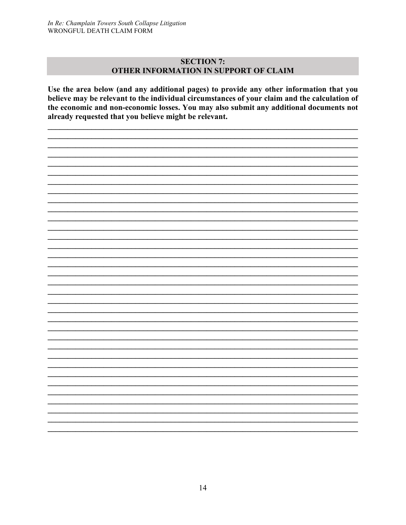#### **SECTION 7:** OTHER INFORMATION IN SUPPORT OF CLAIM

Use the area below (and any additional pages) to provide any other information that you believe may be relevant to the individual circumstances of your claim and the calculation of the economic and non-economic losses. You may also submit any additional documents not already requested that you believe might be relevant.

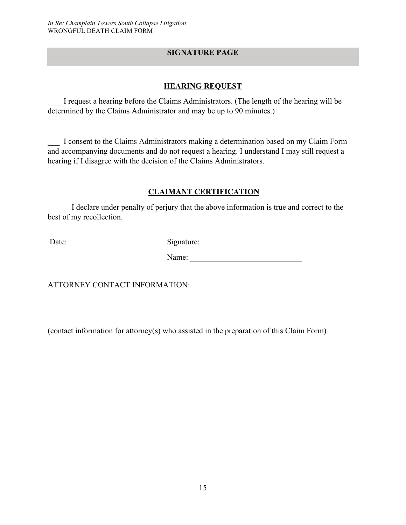#### **SIGNATURE PAGE**

#### **HEARING REQUEST**

\_\_\_ I request a hearing before the Claims Administrators. (The length of the hearing will be determined by the Claims Administrator and may be up to 90 minutes.)

\_\_\_ I consent to the Claims Administrators making a determination based on my Claim Form and accompanying documents and do not request a hearing. I understand I may still request a hearing if I disagree with the decision of the Claims Administrators.

#### **CLAIMANT CERTIFICATION**

I declare under penalty of perjury that the above information is true and correct to the best of my recollection.

Date: \_\_\_\_\_\_\_\_\_\_\_\_\_\_\_\_ Signature: \_\_\_\_\_\_\_\_\_\_\_\_\_\_\_\_\_\_\_\_\_\_\_\_\_\_\_\_

Name: \_\_\_\_\_\_\_\_\_\_\_\_\_\_\_\_\_\_\_\_\_\_\_\_\_\_\_\_

ATTORNEY CONTACT INFORMATION:

(contact information for attorney(s) who assisted in the preparation of this Claim Form)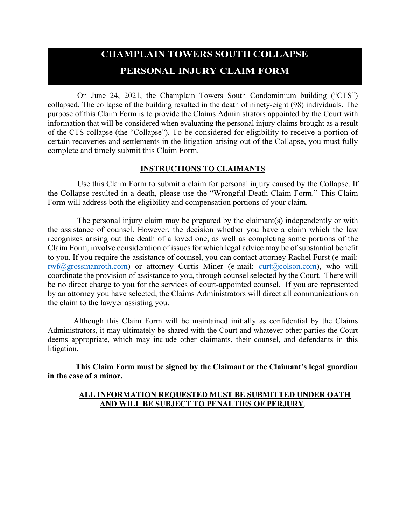# **CHAMPLAIN TOWERS SOUTH COLLAPSE PERSONAL INJURY CLAIM FORM**

On June 24, 2021, the Champlain Towers South Condominium building ("CTS") collapsed. The collapse of the building resulted in the death of ninety-eight (98) individuals. The purpose of this Claim Form is to provide the Claims Administrators appointed by the Court with information that will be considered when evaluating the personal injury claims brought as a result of the CTS collapse (the "Collapse"). To be considered for eligibility to receive a portion of certain recoveries and settlements in the litigation arising out of the Collapse, you must fully complete and timely submit this Claim Form.

#### **INSTRUCTIONS TO CLAIMANTS**

Use this Claim Form to submit a claim for personal injury caused by the Collapse. If the Collapse resulted in a death, please use the "Wrongful Death Claim Form." This Claim Form will address both the eligibility and compensation portions of your claim.

The personal injury claim may be prepared by the claimant(s) independently or with the assistance of counsel. However, the decision whether you have a claim which the law recognizes arising out the death of a loved one, as well as completing some portions of the Claim Form, involve consideration of issues for which legal advice may be of substantial benefit to you. If you require the assistance of counsel, you can contact attorney Rachel Furst (e-mail:  $rwf(\omega)$ grossmanroth.com) or attorney Curtis Miner (e-mail: curt $(\omega)$ colson.com), who will coordinate the provision of assistance to you, through counsel selected by the Court. There will be no direct charge to you for the services of court-appointed counsel. If you are represented by an attorney you have selected, the Claims Administrators will direct all communications on the claim to the lawyer assisting you.

Although this Claim Form will be maintained initially as confidential by the Claims Administrators, it may ultimately be shared with the Court and whatever other parties the Court deems appropriate, which may include other claimants, their counsel, and defendants in this litigation.

**This Claim Form must be signed by the Claimant or the Claimant's legal guardian in the case of a minor.**

#### **ALL INFORMATION REQUESTED MUST BE SUBMITTED UNDER OATH AND WILL BE SUBJECT TO PENALTIES OF PERJURY**.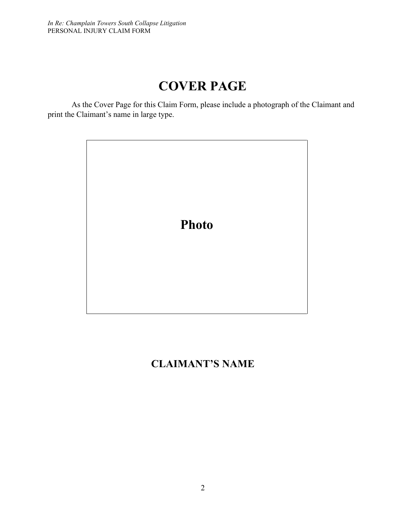# **COVER PAGE**

As the Cover Page for this Claim Form, please include a photograph of the Claimant and print the Claimant's name in large type.



# **CLAIMANT'S NAME**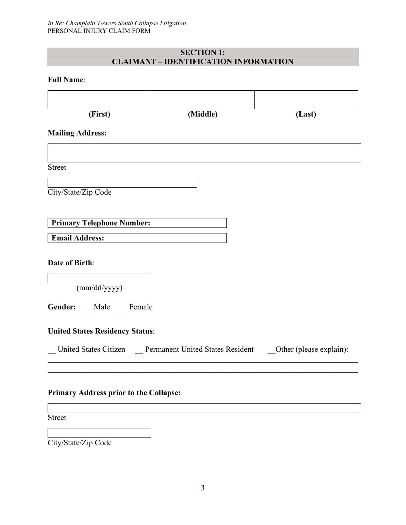#### **SECTION 1: CLAIMANT – IDENTIFICATION INFORMATION**

#### **Full Name**:

| (First)                                       | (Middle)                                                                         |        |
|-----------------------------------------------|----------------------------------------------------------------------------------|--------|
|                                               |                                                                                  | (Last) |
| <b>Mailing Address:</b>                       |                                                                                  |        |
|                                               |                                                                                  |        |
|                                               |                                                                                  |        |
| <b>Street</b>                                 |                                                                                  |        |
|                                               |                                                                                  |        |
| City/State/Zip Code                           |                                                                                  |        |
|                                               |                                                                                  |        |
| <b>Primary Telephone Number:</b>              |                                                                                  |        |
| <b>Email Address:</b>                         |                                                                                  |        |
|                                               |                                                                                  |        |
| Date of Birth:                                |                                                                                  |        |
|                                               |                                                                                  |        |
| (mm/dd/yyyy)                                  |                                                                                  |        |
| Gender: _ Male _ Female                       |                                                                                  |        |
|                                               |                                                                                  |        |
| <b>United States Residency Status:</b>        |                                                                                  |        |
|                                               |                                                                                  |        |
|                                               | United States Citizen  Permanent United States Resident  Other (please explain): |        |
|                                               |                                                                                  |        |
|                                               |                                                                                  |        |
| <b>Primary Address prior to the Collapse:</b> |                                                                                  |        |
|                                               |                                                                                  |        |
| <b>Street</b>                                 |                                                                                  |        |

City/State/Zip Code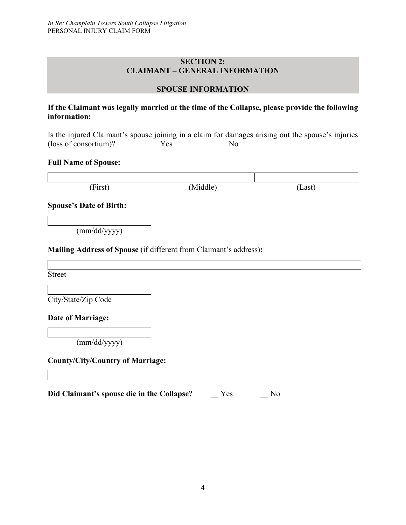#### **SECTION 2: CLAIMANT – GENERAL INFORMATION**

#### **SPOUSE INFORMATION**

#### **If the Claimant was legally married at the time of the Collapse, please provide the following information:**

Is the injured Claimant's spouse joining in a claim for damages arising out the spouse's injuries (loss of consortium)? \_\_\_ Yes \_\_\_ No

#### **Full Name of Spouse:**

| (First) | (Middle) | Last) |
|---------|----------|-------|

**Spouse's Date of Birth:**

(mm/dd/yyyy)

#### **Mailing Address of Spouse** (if different from Claimant's address)**:**

Street

City/State/Zip Code

#### **Date of Marriage:**

(mm/dd/yyyy)

#### **County/City/Country of Marriage:**

**Did Claimant's spouse die in the Collapse?** \_\_ Yes \_\_ No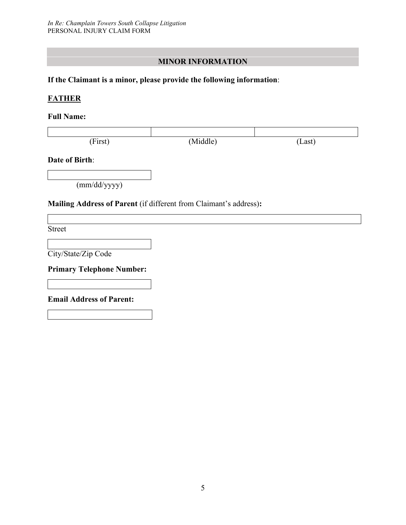#### **MINOR INFORMATION**

#### **If the Claimant is a minor, please provide the following information**:

#### **FATHER**

#### **Full Name:**

| (First) | Middle) | Last |
|---------|---------|------|

#### **Date of Birth**:

(mm/dd/yyyy)

#### **Mailing Address of Parent** (if different from Claimant's address)**:**

Street

City/State/Zip Code

**Primary Telephone Number:**

**Email Address of Parent:**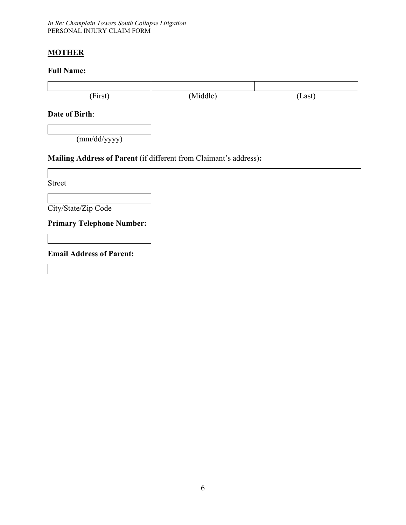*In Re: Champlain Towers South Collapse Litigation* PERSONAL INJURY CLAIM FORM

#### **MOTHER**

#### **Full Name:**

| (First)                                                           | (Middle) | (Last) |
|-------------------------------------------------------------------|----------|--------|
| Date of Birth:                                                    |          |        |
| (mm/dd/yyyy)                                                      |          |        |
| Mailing Address of Parent (if different from Claimant's address): |          |        |
|                                                                   |          |        |
| <b>Street</b>                                                     |          |        |
|                                                                   |          |        |
| City/State/Zip Code                                               |          |        |
| <b>Primary Telephone Number:</b>                                  |          |        |
|                                                                   |          |        |
| <b>Email Address of Parent:</b>                                   |          |        |
|                                                                   |          |        |
|                                                                   |          |        |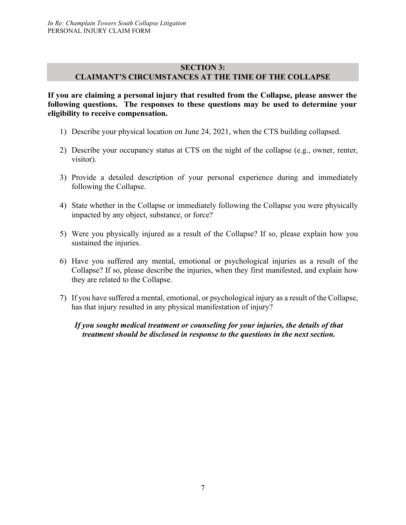#### **SECTION 3: CLAIMANT'S CIRCUMSTANCES AT THE TIME OF THE COLLAPSE**

**If you are claiming a personal injury that resulted from the Collapse, please answer the following questions. The responses to these questions may be used to determine your eligibility to receive compensation.**

- 1) Describe your physical location on June 24, 2021, when the CTS building collapsed.
- 2) Describe your occupancy status at CTS on the night of the collapse (e.g., owner, renter, visitor).
- 3) Provide a detailed description of your personal experience during and immediately following the Collapse.
- 4) State whether in the Collapse or immediately following the Collapse you were physically impacted by any object, substance, or force?
- 5) Were you physically injured as a result of the Collapse? If so, please explain how you sustained the injuries.
- 6) Have you suffered any mental, emotional or psychological injuries as a result of the Collapse? If so, please describe the injuries, when they first manifested, and explain how they are related to the Collapse.
- 7) If you have suffered a mental, emotional, or psychological injury as a result of the Collapse, has that injury resulted in any physical manifestation of injury?

*If you sought medical treatment or counseling for your injuries, the details of that treatment should be disclosed in response to the questions in the next section.*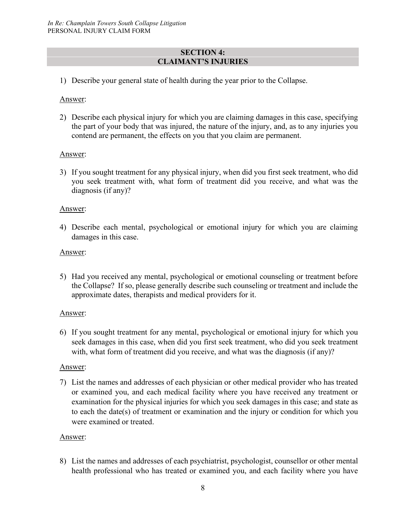#### **SECTION 4: CLAIMANT'S INJURIES**

1) Describe your general state of health during the year prior to the Collapse.

#### Answer:

2) Describe each physical injury for which you are claiming damages in this case, specifying the part of your body that was injured, the nature of the injury, and, as to any injuries you contend are permanent, the effects on you that you claim are permanent.

#### Answer:

3) If you sought treatment for any physical injury, when did you first seek treatment, who did you seek treatment with, what form of treatment did you receive, and what was the diagnosis (if any)?

#### Answer:

4) Describe each mental, psychological or emotional injury for which you are claiming damages in this case.

#### Answer:

5) Had you received any mental, psychological or emotional counseling or treatment before the Collapse? If so, please generally describe such counseling or treatment and include the approximate dates, therapists and medical providers for it.

#### Answer:

6) If you sought treatment for any mental, psychological or emotional injury for which you seek damages in this case, when did you first seek treatment, who did you seek treatment with, what form of treatment did you receive, and what was the diagnosis (if any)?

#### Answer:

7) List the names and addresses of each physician or other medical provider who has treated or examined you, and each medical facility where you have received any treatment or examination for the physical injuries for which you seek damages in this case; and state as to each the date(s) of treatment or examination and the injury or condition for which you were examined or treated.

#### Answer:

8) List the names and addresses of each psychiatrist, psychologist, counsellor or other mental health professional who has treated or examined you, and each facility where you have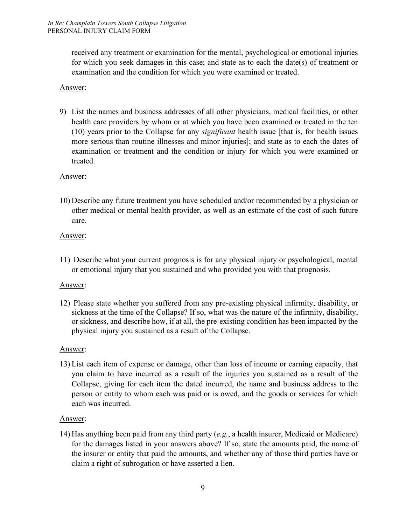received any treatment or examination for the mental, psychological or emotional injuries for which you seek damages in this case; and state as to each the date(s) of treatment or examination and the condition for which you were examined or treated.

#### Answer:

9) List the names and business addresses of all other physicians, medical facilities, or other health care providers by whom or at which you have been examined or treated in the ten (10) years prior to the Collapse for any *significant* health issue [that is*,* for health issues more serious than routine illnesses and minor injuries]; and state as to each the dates of examination or treatment and the condition or injury for which you were examined or treated.

#### Answer:

10) Describe any future treatment you have scheduled and/or recommended by a physician or other medical or mental health provider, as well as an estimate of the cost of such future care.

#### Answer:

11) Describe what your current prognosis is for any physical injury or psychological, mental or emotional injury that you sustained and who provided you with that prognosis.

#### Answer:

12) Please state whether you suffered from any pre-existing physical infirmity, disability, or sickness at the time of the Collapse? If so, what was the nature of the infirmity, disability, or sickness, and describe how, if at all, the pre-existing condition has been impacted by the physical injury you sustained as a result of the Collapse.

#### Answer:

13) List each item of expense or damage, other than loss of income or earning capacity, that you claim to have incurred as a result of the injuries you sustained as a result of the Collapse, giving for each item the dated incurred, the name and business address to the person or entity to whom each was paid or is owed, and the goods or services for which each was incurred.

#### Answer:

14) Has anything been paid from any third party (*e.g.*, a health insurer, Medicaid or Medicare) for the damages listed in your answers above? If so, state the amounts paid, the name of the insurer or entity that paid the amounts, and whether any of those third parties have or claim a right of subrogation or have asserted a lien.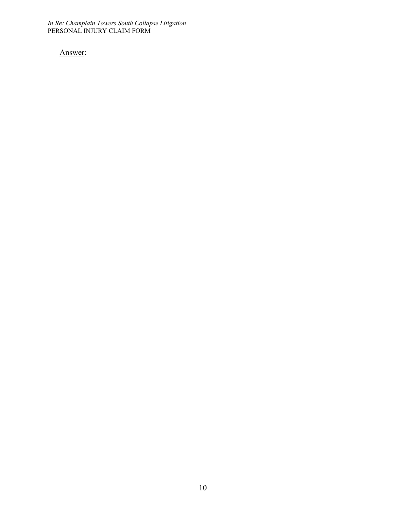*In Re: Champlain Towers South Collapse Litigation* PERSONAL INJURY CLAIM FORM

Answer: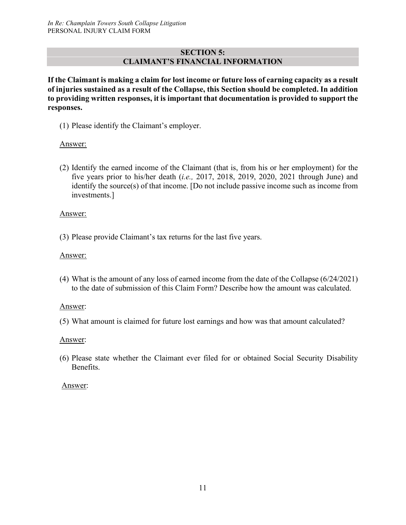#### **SECTION 5: CLAIMANT'S FINANCIAL INFORMATION**

**If the Claimant is making a claim for lost income or future loss of earning capacity as a result of injuries sustained as a result of the Collapse, this Section should be completed. In addition to providing written responses, it is important that documentation is provided to support the responses.**

(1) Please identify the Claimant's employer.

#### Answer:

(2) Identify the earned income of the Claimant (that is, from his or her employment) for the five years prior to his/her death (*i.e.,* 2017, 2018, 2019, 2020, 2021 through June) and identify the source(s) of that income. [Do not include passive income such as income from investments.]

#### Answer:

(3) Please provide Claimant's tax returns for the last five years.

#### Answer:

(4) What is the amount of any loss of earned income from the date of the Collapse (6/24/2021) to the date of submission of this Claim Form? Describe how the amount was calculated.

#### Answer:

(5) What amount is claimed for future lost earnings and how was that amount calculated?

#### Answer:

(6) Please state whether the Claimant ever filed for or obtained Social Security Disability Benefits.

#### Answer: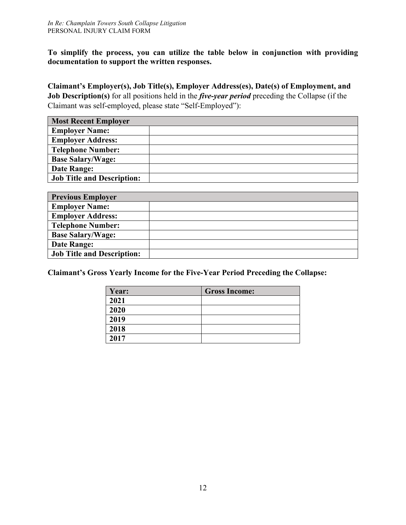**To simplify the process, you can utilize the table below in conjunction with providing documentation to support the written responses.**

**Claimant's Employer(s), Job Title(s), Employer Address(es), Date(s) of Employment, and Job Description(s)** for all positions held in the *five-year period* preceding the Collapse (if the Claimant was self-employed, please state "Self-Employed"):

| <b>Most Recent Employer</b>       |  |  |
|-----------------------------------|--|--|
| <b>Employer Name:</b>             |  |  |
| <b>Employer Address:</b>          |  |  |
| <b>Telephone Number:</b>          |  |  |
| <b>Base Salary/Wage:</b>          |  |  |
| Date Range:                       |  |  |
| <b>Job Title and Description:</b> |  |  |

| <b>Previous Employer</b>          |  |  |
|-----------------------------------|--|--|
| <b>Employer Name:</b>             |  |  |
| <b>Employer Address:</b>          |  |  |
| <b>Telephone Number:</b>          |  |  |
| <b>Base Salary/Wage:</b>          |  |  |
| Date Range:                       |  |  |
| <b>Job Title and Description:</b> |  |  |

**Claimant's Gross Yearly Income for the Five-Year Period Preceding the Collapse:**

| Year: | <b>Gross Income:</b> |
|-------|----------------------|
| 2021  |                      |
| 2020  |                      |
| 2019  |                      |
| 2018  |                      |
| 2017  |                      |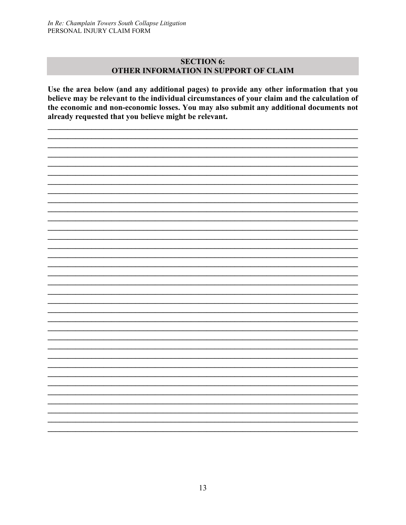#### **SECTION 6:** OTHER INFORMATION IN SUPPORT OF CLAIM

Use the area below (and any additional pages) to provide any other information that you believe may be relevant to the individual circumstances of your claim and the calculation of the economic and non-economic losses. You may also submit any additional documents not already requested that you believe might be relevant.

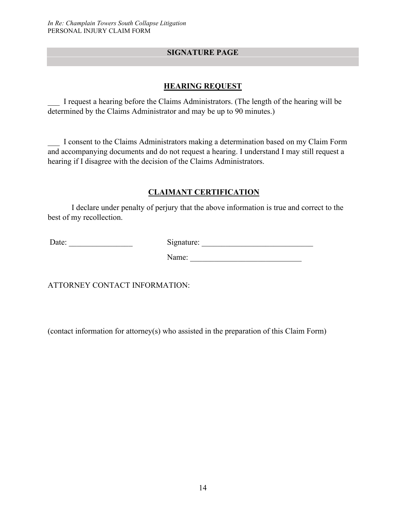#### **SIGNATURE PAGE**

#### **HEARING REQUEST**

\_\_\_ I request a hearing before the Claims Administrators. (The length of the hearing will be determined by the Claims Administrator and may be up to 90 minutes.)

\_\_\_ I consent to the Claims Administrators making a determination based on my Claim Form and accompanying documents and do not request a hearing. I understand I may still request a hearing if I disagree with the decision of the Claims Administrators.

#### **CLAIMANT CERTIFICATION**

I declare under penalty of perjury that the above information is true and correct to the best of my recollection.

Date: \_\_\_\_\_\_\_\_\_\_\_\_\_\_\_\_ Signature: \_\_\_\_\_\_\_\_\_\_\_\_\_\_\_\_\_\_\_\_\_\_\_\_\_\_\_\_

Name:

ATTORNEY CONTACT INFORMATION:

(contact information for attorney(s) who assisted in the preparation of this Claim Form)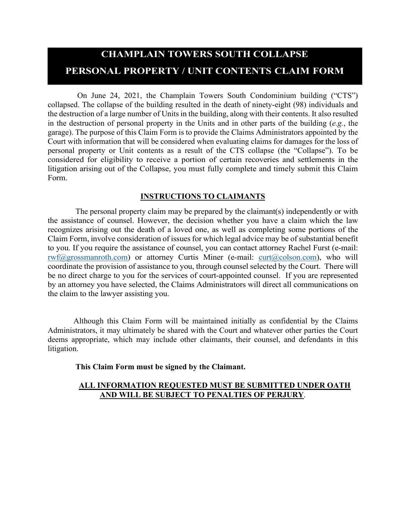# **CHAMPLAIN TOWERS SOUTH COLLAPSE PERSONAL PROPERTY / UNIT CONTENTS CLAIM FORM**

On June 24, 2021, the Champlain Towers South Condominium building ("CTS") collapsed. The collapse of the building resulted in the death of ninety-eight (98) individuals and the destruction of a large number of Units in the building, along with their contents. It also resulted in the destruction of personal property in the Units and in other parts of the building (*e.g.*, the garage). The purpose of this Claim Form is to provide the Claims Administrators appointed by the Court with information that will be considered when evaluating claims for damages for the loss of personal property or Unit contents as a result of the CTS collapse (the "Collapse"). To be considered for eligibility to receive a portion of certain recoveries and settlements in the litigation arising out of the Collapse, you must fully complete and timely submit this Claim Form.

#### **INSTRUCTIONS TO CLAIMANTS**

The personal property claim may be prepared by the claimant(s) independently or with the assistance of counsel. However, the decision whether you have a claim which the law recognizes arising out the death of a loved one, as well as completing some portions of the Claim Form, involve consideration of issues for which legal advice may be of substantial benefit to you. If you require the assistance of counsel, you can contact attorney Rachel Furst (e-mail:  $rwt(\omega)$ grossmanroth.com) or attorney Curtis Miner (e-mail: curt $(\omega)$ colson.com), who will coordinate the provision of assistance to you, through counsel selected by the Court. There will be no direct charge to you for the services of court-appointed counsel. If you are represented by an attorney you have selected, the Claims Administrators will direct all communications on the claim to the lawyer assisting you.

Although this Claim Form will be maintained initially as confidential by the Claims Administrators, it may ultimately be shared with the Court and whatever other parties the Court deems appropriate, which may include other claimants, their counsel, and defendants in this litigation.

#### **This Claim Form must be signed by the Claimant.**

#### **ALL INFORMATION REQUESTED MUST BE SUBMITTED UNDER OATH AND WILL BE SUBJECT TO PENALTIES OF PERJURY**.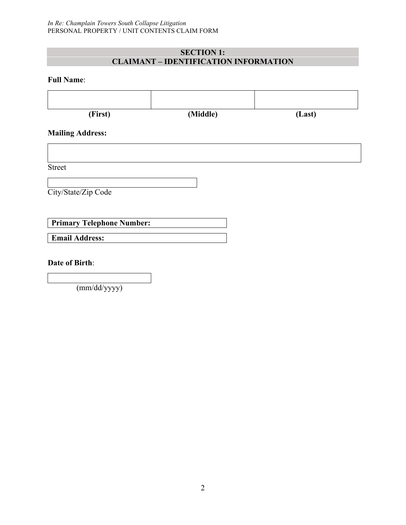#### **SECTION 1: CLAIMANT – IDENTIFICATION INFORMATION**

#### **Full Name**:

| (First)                                                   | (Middle) | (Last) |
|-----------------------------------------------------------|----------|--------|
| <b>Mailing Address:</b>                                   |          |        |
| <b>Street</b>                                             |          |        |
| City/State/Zip Code                                       |          |        |
|                                                           |          |        |
| <b>Primary Telephone Number:</b><br><b>Email Address:</b> |          |        |
| <b>Date of Birth:</b>                                     |          |        |

(mm/dd/yyyy)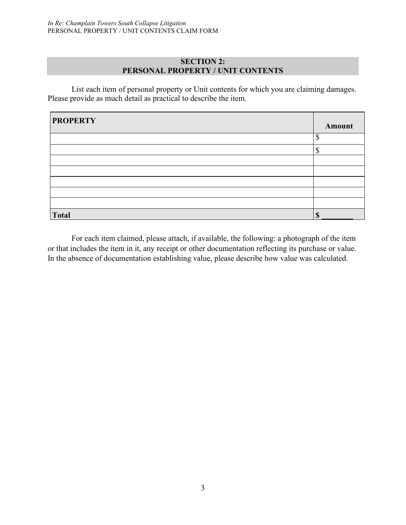#### **SECTION 2: PERSONAL PROPERTY / UNIT CONTENTS**

List each item of personal property or Unit contents for which you are claiming damages. Please provide as much detail as practical to describe the item.

| <b>PROPERTY</b> | <b>Amount</b> |
|-----------------|---------------|
|                 | ¢<br>J        |
|                 |               |
|                 |               |
|                 |               |
|                 |               |
|                 |               |
|                 |               |
| <b>Total</b>    |               |

For each item claimed, please attach, if available, the following: a photograph of the item or that includes the item in it, any receipt or other documentation reflecting its purchase or value. In the absence of documentation establishing value, please describe how value was calculated.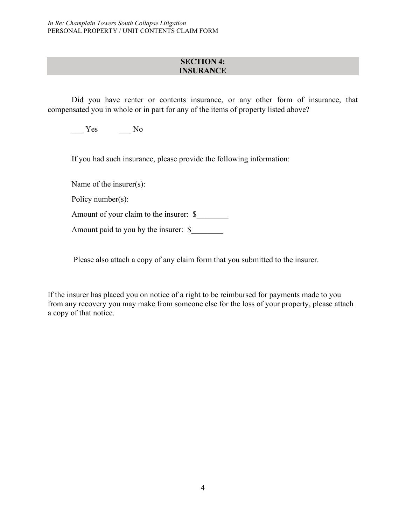#### **SECTION 4: INSURANCE**

Did you have renter or contents insurance, or any other form of insurance, that compensated you in whole or in part for any of the items of property listed above?

Yes No

If you had such insurance, please provide the following information:

Name of the insurer(s):

Policy number(s):

Amount of your claim to the insurer: \$

Amount paid to you by the insurer: \$

Please also attach a copy of any claim form that you submitted to the insurer.

If the insurer has placed you on notice of a right to be reimbursed for payments made to you from any recovery you may make from someone else for the loss of your property, please attach a copy of that notice.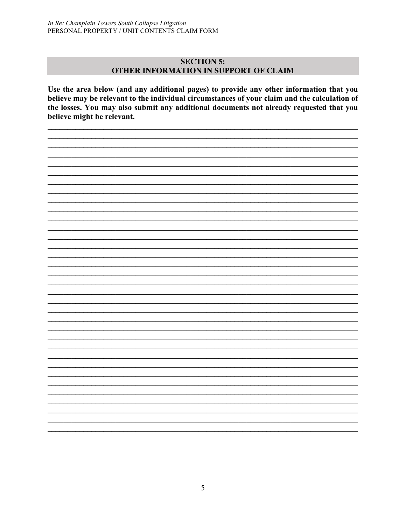#### **SECTION 5:** OTHER INFORMATION IN SUPPORT OF CLAIM

Use the area below (and any additional pages) to provide any other information that you believe may be relevant to the individual circumstances of your claim and the calculation of the losses. You may also submit any additional documents not already requested that you believe might be relevant.

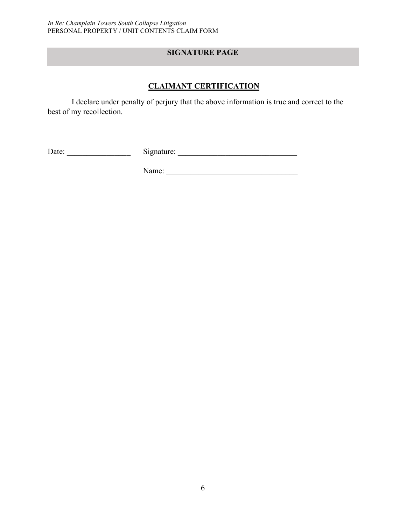### **SIGNATURE PAGE**

#### **CLAIMANT CERTIFICATION**

I declare under penalty of perjury that the above information is true and correct to the best of my recollection.

| $\overline{\phantom{a}}$<br>-<br>≀nature:<br>Dale.<br>יי<br>້ |  |
|---------------------------------------------------------------|--|
|---------------------------------------------------------------|--|

Name: \_\_\_\_\_\_\_\_\_\_\_\_\_\_\_\_\_\_\_\_\_\_\_\_\_\_\_\_\_\_\_\_\_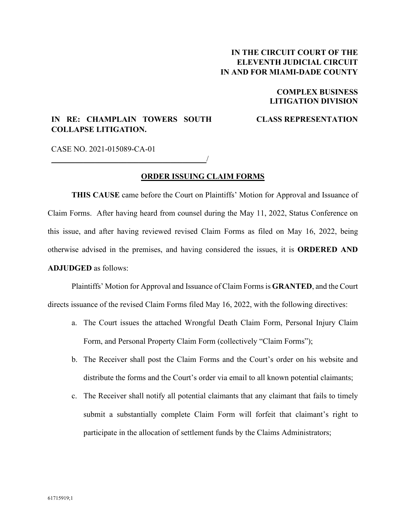#### **IN THE CIRCUIT COURT OF THE ELEVENTH JUDICIAL CIRCUIT IN AND FOR MIAMI-DADE COUNTY**

#### **COMPLEX BUSINESS LITIGATION DIVISION**

#### **IN RE: CHAMPLAIN TOWERS SOUTH COLLAPSE LITIGATION.**

\_\_\_\_\_\_\_\_\_\_\_\_\_\_\_\_\_\_\_\_\_\_\_\_\_\_\_\_\_\_\_\_\_\_\_\_\_\_\_/

#### **CLASS REPRESENTATION**

CASE NO. 2021-015089-CA-01

#### **ORDER ISSUING CLAIM FORMS**

**THIS CAUSE** came before the Court on Plaintiffs' Motion for Approval and Issuance of Claim Forms. After having heard from counsel during the May 11, 2022, Status Conference on this issue, and after having reviewed revised Claim Forms as filed on May 16, 2022, being otherwise advised in the premises, and having considered the issues, it is **ORDERED AND ADJUDGED** as follows:

Plaintiffs' Motion for Approval and Issuance of Claim Forms is **GRANTED**, and the Court directs issuance of the revised Claim Forms filed May 16, 2022, with the following directives:

- a. The Court issues the attached Wrongful Death Claim Form, Personal Injury Claim Form, and Personal Property Claim Form (collectively "Claim Forms");
- b. The Receiver shall post the Claim Forms and the Court's order on his website and distribute the forms and the Court's order via email to all known potential claimants;
- c. The Receiver shall notify all potential claimants that any claimant that fails to timely submit a substantially complete Claim Form will forfeit that claimant's right to participate in the allocation of settlement funds by the Claims Administrators;